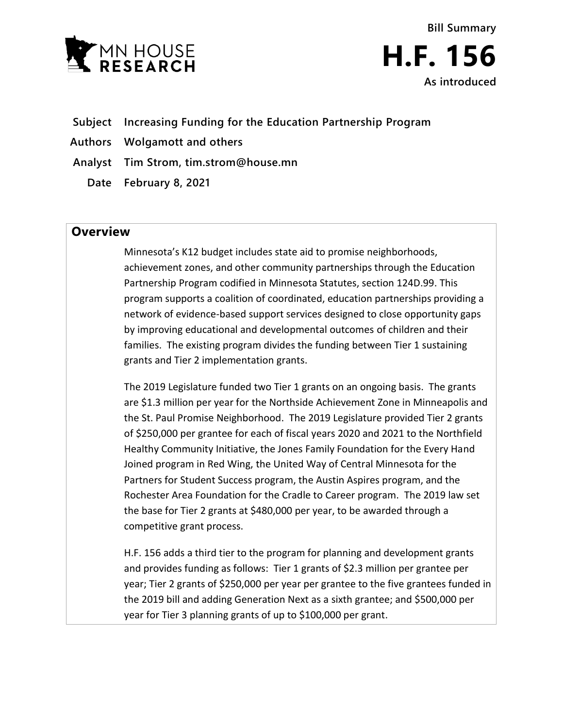



- **Subject Increasing Funding for the Education Partnership Program**
- **Authors Wolgamott and others**
- **Analyst Tim Strom, tim.strom@house.mn**
	- **Date February 8, 2021**

## **Overview**

Minnesota's K12 budget includes state aid to promise neighborhoods, achievement zones, and other community partnerships through the Education Partnership Program codified in Minnesota Statutes, section 124D.99. This program supports a coalition of coordinated, education partnerships providing a network of evidence-based support services designed to close opportunity gaps by improving educational and developmental outcomes of children and their families. The existing program divides the funding between Tier 1 sustaining grants and Tier 2 implementation grants.

The 2019 Legislature funded two Tier 1 grants on an ongoing basis. The grants are \$1.3 million per year for the Northside Achievement Zone in Minneapolis and the St. Paul Promise Neighborhood. The 2019 Legislature provided Tier 2 grants of \$250,000 per grantee for each of fiscal years 2020 and 2021 to the Northfield Healthy Community Initiative, the Jones Family Foundation for the Every Hand Joined program in Red Wing, the United Way of Central Minnesota for the Partners for Student Success program, the Austin Aspires program, and the Rochester Area Foundation for the Cradle to Career program. The 2019 law set the base for Tier 2 grants at \$480,000 per year, to be awarded through a competitive grant process.

H.F. 156 adds a third tier to the program for planning and development grants and provides funding as follows: Tier 1 grants of \$2.3 million per grantee per year; Tier 2 grants of \$250,000 per year per grantee to the five grantees funded in the 2019 bill and adding Generation Next as a sixth grantee; and \$500,000 per year for Tier 3 planning grants of up to \$100,000 per grant.